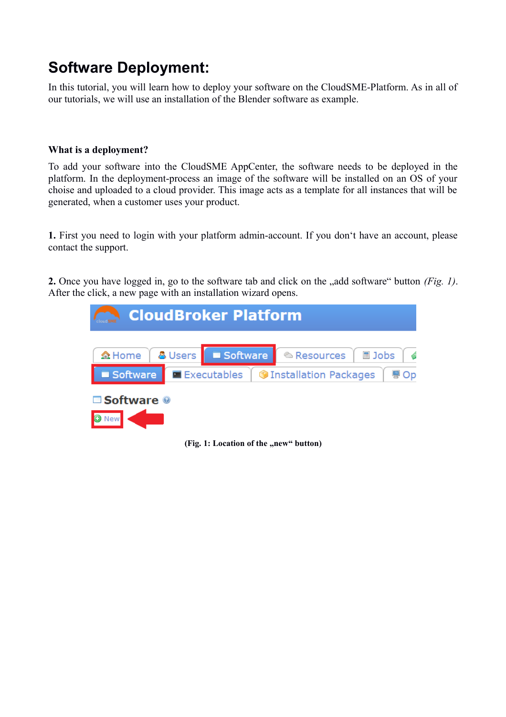# **Software Deployment:**

In this tutorial, you will learn how to deploy your software on the CloudSME-Platform. As in all of our tutorials, we will use an installation of the Blender software as example.

## **What is a deployment?**

To add your software into the CloudSME AppCenter, the software needs to be deployed in the platform. In the deployment-process an image of the software will be installed on an OS of your choise and uploaded to a cloud provider. This image acts as a template for all instances that will be generated, when a customer uses your product.

**1.** First you need to login with your platform admin-account. If you don't have an account, please contact the support.

**2.** Once you have logged in, go to the software tab and click on the "add software" button *(Fig. 1)*. After the click, a new page with an installation wizard opens.



**(Fig. 1: Location of the ,new" button)**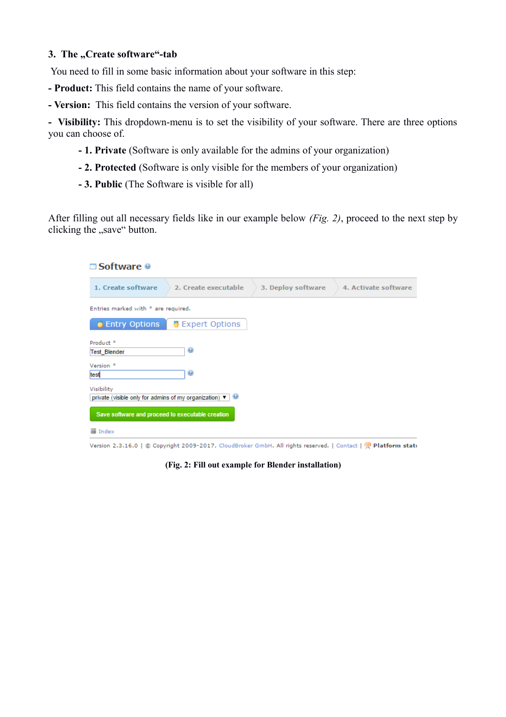### **3. The "Create software"-tab**

You need to fill in some basic information about your software in this step:

- **Product:** This field contains the name of your software.
- **Version:** This field contains the version of your software.

**- Visibility:** This dropdown-menu is to set the visibility of your software. There are three options you can choose of.

- **1. Private** (Software is only available for the admins of your organization)
- **2. Protected** (Software is only visible for the members of your organization)
- **3. Public** (The Software is visible for all)

After filling out all necessary fields like in our example below *(Fig. 2)*, proceed to the next step by clicking the "save" button.

| $\Box$ Software $\Theta$                                                                |                      |                    |                      |
|-----------------------------------------------------------------------------------------|----------------------|--------------------|----------------------|
| 1. Create software                                                                      | 2. Create executable | 3. Deploy software | 4. Activate software |
| Entries marked with * are required.                                                     |                      |                    |                      |
| <b>• Entry Options</b>                                                                  | 뿋 Expert Options     |                    |                      |
| Product <sup>*</sup><br><b>Test Blender</b>                                             | $\Theta$             |                    |                      |
| Version <sup>*</sup><br>test                                                            | $\Theta$             |                    |                      |
| Visibility<br>private (visible only for admins of my organization) $\blacktriangledown$ |                      |                    |                      |
| Save software and proceed to executable creation                                        |                      |                    |                      |
| $\equiv$ Index                                                                          |                      |                    |                      |

Version 2.3.16.0 | © Copyright 2009-2017, CloudBroker GmbH. All rights reserved. | Contact | R Platform statu

**(Fig. 2: Fill out example for Blender installation)**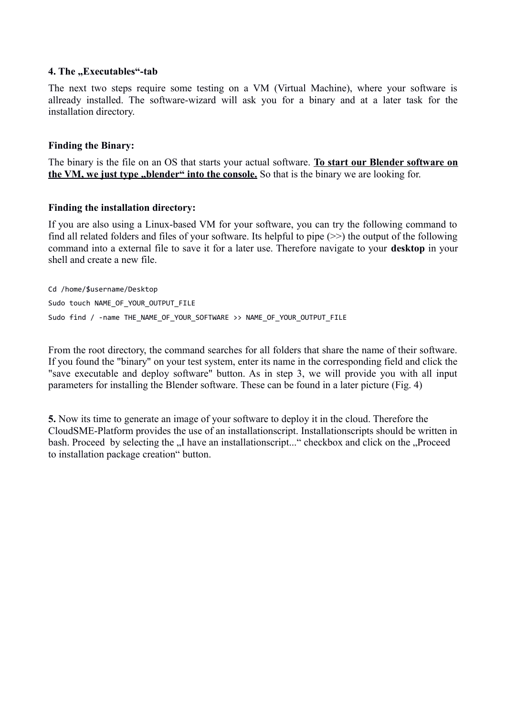#### **4. The "Executables"-tab**

The next two steps require some testing on a VM (Virtual Machine), where your software is allready installed. The software-wizard will ask you for a binary and at a later task for the installation directory.

#### **Finding the Binary:**

The binary is the file on an OS that starts your actual software. **To start our Blender software on** the VM, we just type "blender" into the console. So that is the binary we are looking for.

#### **Finding the installation directory:**

If you are also using a Linux-based VM for your software, you can try the following command to find all related folders and files of your software. Its helpful to pipe  $(\ge)$  the output of the following command into a external file to save it for a later use. Therefore navigate to your **desktop** in your shell and create a new file.

Cd /home/\$username/Desktop Sudo touch NAME OF YOUR OUTPUT FILE Sudo find / -name THE\_NAME\_OF\_YOUR\_SOFTWARE >> NAME\_OF\_YOUR\_OUTPUT\_FILE

From the root directory, the command searches for all folders that share the name of their software. If you found the "binary" on your test system, enter its name in the corresponding field and click the "save executable and deploy software" button. As in step 3, we will provide you with all input parameters for installing the Blender software. These can be found in a later picture (Fig. 4)

**5.** Now its time to generate an image of your software to deploy it in the cloud. Therefore the CloudSME-Platform provides the use of an installationscript. Installationscripts should be written in bash. Proceed by selecting the "I have an installationscript..." checkbox and click on the "Proceed" to installation package creation" button.